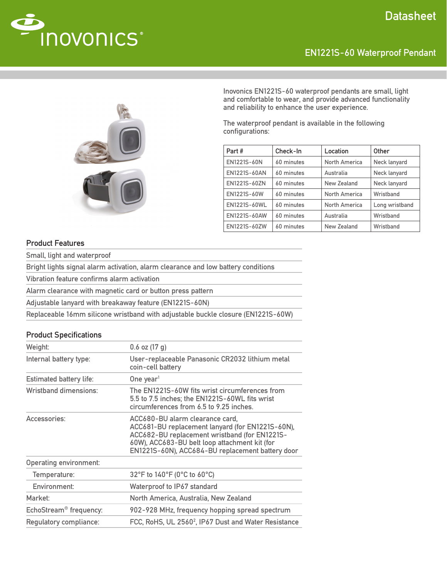

# EN1221S-60 Waterproof Pendant



Inovonics EN1221S-60 waterproof pendants are small, light and comfortable to wear, and provide advanced functionality and reliability to enhance the user experience.

The waterproof pendant is available in the following configurations:

| Part#        | Check-In   | Location             | Other          |
|--------------|------------|----------------------|----------------|
| EN1221S-60N  | 60 minutes | North America        | Neck lanyard   |
| EN1221S-60AN | 60 minutes | Australia            | Neck lanyard   |
| EN1221S-60ZN | 60 minutes | New Zealand          | Neck lanyard   |
| EN1221S-60W  | 60 minutes | North America        | Wristband      |
| EN1221S-60WL | 60 minutes | <b>North America</b> | Long wristband |
| EN1221S-60AW | 60 minutes | Australia            | Wristband      |
| EN1221S-60ZW | 60 minutes | <b>New Zealand</b>   | Wristband      |

## Product Features

Small, light and waterproof

Bright lights signal alarm activation, alarm clearance and low battery conditions

Vibration feature confirms alarm activation

Alarm clearance with magnetic card or button press pattern

Adjustable lanyard with breakaway feature (EN1221S-60N)

Replaceable 16mm silicone wristband with adjustable buckle closure (EN1221S-60W)

## Product Specifications

| Weight:                                                                                    | $0.6$ oz $(17 g)$                                                                                                                                                                                                                         |  |
|--------------------------------------------------------------------------------------------|-------------------------------------------------------------------------------------------------------------------------------------------------------------------------------------------------------------------------------------------|--|
| Internal battery type:                                                                     | User-replaceable Panasonic CR2032 lithium metal<br>coin-cell battery                                                                                                                                                                      |  |
| <b>Estimated battery life:</b>                                                             | One year <sup>1</sup>                                                                                                                                                                                                                     |  |
| Wristband dimensions:                                                                      | The EN1221S-60W fits wrist circumferences from<br>5.5 to 7.5 inches; the EN1221S-60WL fits wrist<br>circumferences from 6.5 to 9.25 inches.                                                                                               |  |
| Accessories:                                                                               | ACC680-BU alarm clearance card,<br>ACC681-BU replacement lanyard (for EN1221S-60N),<br>ACC682-BU replacement wristband (for EN1221S-<br>60W), ACC683-BU belt loop attachment kit (for<br>EN1221S-60N), ACC684-BU replacement battery door |  |
| <b>Operating environment:</b>                                                              |                                                                                                                                                                                                                                           |  |
| Temperature:                                                                               | 32°F to 140°F (0°C to 60°C)                                                                                                                                                                                                               |  |
| Environment:                                                                               | Waterproof to IP67 standard                                                                                                                                                                                                               |  |
| Market:                                                                                    | North America, Australia, New Zealand                                                                                                                                                                                                     |  |
| EchoStream <sup>®</sup> frequency:                                                         | 902-928 MHz, frequency hopping spread spectrum                                                                                                                                                                                            |  |
| FCC, RoHS, UL 2560 <sup>2</sup> , IP67 Dust and Water Resistance<br>Regulatory compliance: |                                                                                                                                                                                                                                           |  |